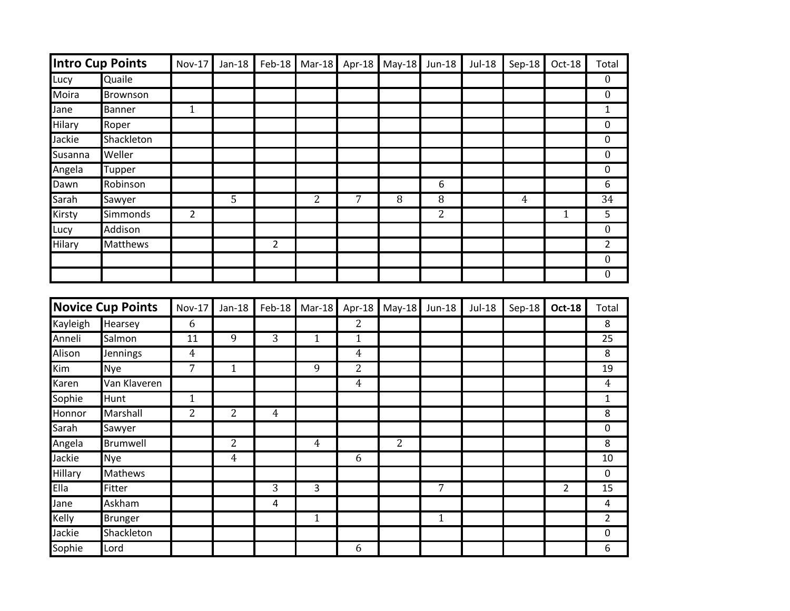| Intro Cup Points         |                 | <b>Nov-17</b>  | Jan-18         | Feb-18         | $Mar-18$       |                | Apr-18 May-18 Jun-18 |                | Jul-18 | Sep-18         | Oct-18         | Total            |
|--------------------------|-----------------|----------------|----------------|----------------|----------------|----------------|----------------------|----------------|--------|----------------|----------------|------------------|
| Lucy                     | Quaile          |                |                |                |                |                |                      |                |        |                |                | $\mathbf{0}$     |
| Moira                    | Brownson        |                |                |                |                |                |                      |                |        |                |                | $\overline{0}$   |
| Jane                     | <b>Banner</b>   | $\mathbf{1}$   |                |                |                |                |                      |                |        |                |                | $\mathbf{1}$     |
| <b>Hilary</b>            | Roper           |                |                |                |                |                |                      |                |        |                |                | $\pmb{0}$        |
| Jackie                   | Shackleton      |                |                |                |                |                |                      |                |        |                |                | 0                |
| Susanna                  | Weller          |                |                |                |                |                |                      |                |        |                |                | $\boldsymbol{0}$ |
| Angela                   | Tupper          |                |                |                |                |                |                      |                |        |                |                | $\mathbf 0$      |
| Dawn                     | Robinson        |                |                |                |                |                |                      | 6              |        |                |                | 6                |
| Sarah                    | Sawyer          |                | $\overline{5}$ |                | $\overline{2}$ | $\overline{7}$ | $\overline{8}$       | 8              |        | $\overline{4}$ |                | $\overline{34}$  |
| Kirsty                   | Simmonds        | $\overline{2}$ |                |                |                |                |                      | 2              |        |                | $\mathbf{1}$   | 5                |
| Lucy                     | Addison         |                |                |                |                |                |                      |                |        |                |                | $\boldsymbol{0}$ |
| <b>Hilary</b>            | <b>Matthews</b> |                |                | $\overline{2}$ |                |                |                      |                |        |                |                | $\overline{2}$   |
|                          |                 |                |                |                |                |                |                      |                |        |                |                | $\overline{0}$   |
|                          |                 |                |                |                |                |                |                      |                |        |                |                | $\boldsymbol{0}$ |
|                          |                 |                |                |                |                |                |                      |                |        |                |                |                  |
| <b>Novice Cup Points</b> |                 | <b>Nov-17</b>  | $Jan-18$       | Feb-18         | Mar-18         | Apr-18         | $May-18$             | <b>Jun-18</b>  | Jul-18 | Sep-18         | <b>Oct-18</b>  | Total            |
| Kayleigh                 | Hearsey         | 6              |                |                |                | $\overline{2}$ |                      |                |        |                |                | 8                |
| Anneli                   | Salmon          | 11             | $\overline{9}$ | $\overline{3}$ | $\mathbf{1}$   | $\mathbf{1}$   |                      |                |        |                |                | $\overline{25}$  |
| Alison                   | Jennings        | $\overline{4}$ |                |                |                | $\overline{4}$ |                      |                |        |                |                | $\overline{8}$   |
| Kim                      | <b>Nye</b>      | $\overline{7}$ | $\overline{1}$ |                | $\overline{9}$ | $\overline{2}$ |                      |                |        |                |                | 19               |
| Karen                    | Van Klaveren    |                |                |                |                | 4              |                      |                |        |                |                | $\overline{4}$   |
| Sophie                   | Hunt            | $\mathbf{1}$   |                |                |                |                |                      |                |        |                |                | $\mathbf{1}$     |
| Honnor                   | Marshall        | $\overline{2}$ | $\overline{2}$ | $\overline{4}$ |                |                |                      |                |        |                |                | 8                |
| Sarah                    | Sawyer          |                |                |                |                |                |                      |                |        |                |                | 0                |
| Angela                   | Brumwell        |                | 2              |                | $\overline{4}$ |                | $\overline{2}$       |                |        |                |                | 8                |
| Jackie                   | <b>Nye</b>      |                | $\overline{4}$ |                |                | 6              |                      |                |        |                |                | 10               |
| Hillary                  | Mathews         |                |                |                |                |                |                      |                |        |                |                | $\pmb{0}$        |
| Ella                     | Fitter          |                |                | $\overline{3}$ | 3              |                |                      | $\overline{7}$ |        |                | $\overline{2}$ | 15               |
| Jane                     | Askham          |                |                | $\overline{4}$ |                |                |                      |                |        |                |                | 4                |
| Kelly                    | <b>Brunger</b>  |                |                |                | $\mathbf{1}$   |                |                      | $\mathbf{1}$   |        |                |                | $\overline{2}$   |
| Jackie                   | Shackleton      |                |                |                |                |                |                      |                |        |                |                | $\pmb{0}$        |
| Sophie                   | Lord            |                |                |                |                | 6              |                      |                |        |                |                | 6                |